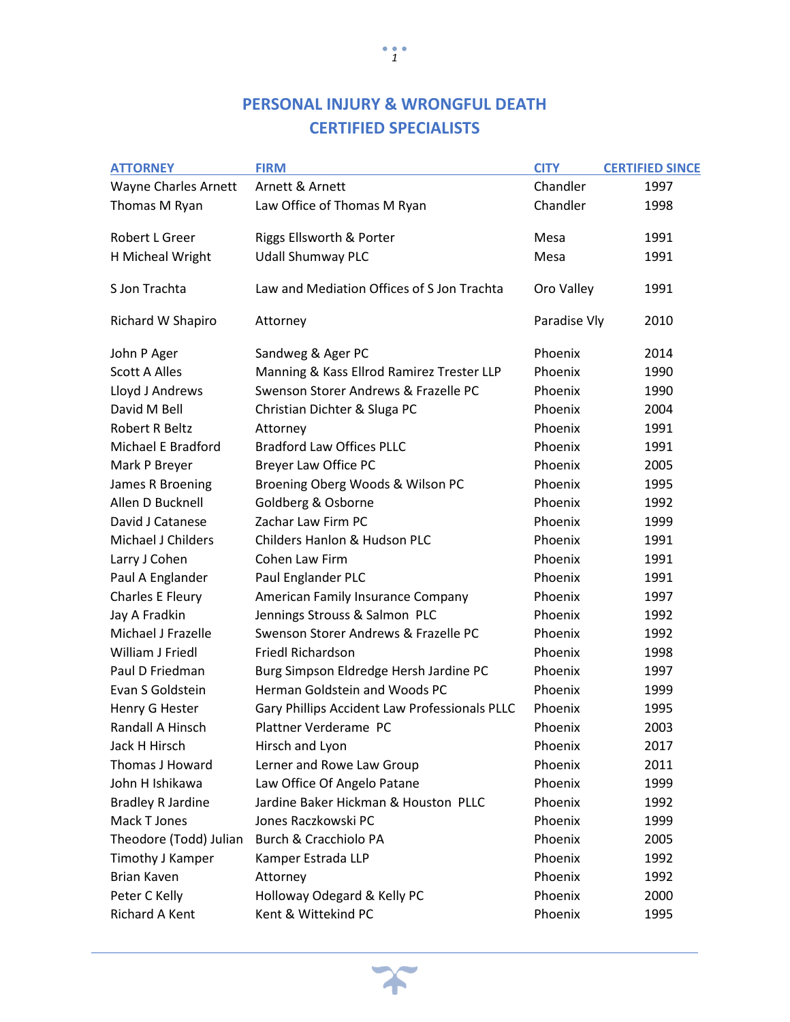| <b>ATTORNEY</b>             | <b>FIRM</b>                                   | <b>CITY</b>  | <b>CERTIFIED SINCE</b> |
|-----------------------------|-----------------------------------------------|--------------|------------------------|
| <b>Wayne Charles Arnett</b> | Arnett & Arnett                               | Chandler     | 1997                   |
| Thomas M Ryan               | Law Office of Thomas M Ryan                   | Chandler     | 1998                   |
| Robert L Greer              | Riggs Ellsworth & Porter                      | Mesa         | 1991                   |
|                             |                                               |              |                        |
| H Micheal Wright            | <b>Udall Shumway PLC</b>                      | Mesa         | 1991                   |
| S Jon Trachta               | Law and Mediation Offices of S Jon Trachta    | Oro Valley   | 1991                   |
| Richard W Shapiro           | Attorney                                      | Paradise Vly | 2010                   |
| John P Ager                 | Sandweg & Ager PC                             | Phoenix      | 2014                   |
| <b>Scott A Alles</b>        | Manning & Kass Ellrod Ramirez Trester LLP     | Phoenix      | 1990                   |
| Lloyd J Andrews             | Swenson Storer Andrews & Frazelle PC          | Phoenix      | 1990                   |
| David M Bell                | Christian Dichter & Sluga PC                  | Phoenix      | 2004                   |
| <b>Robert R Beltz</b>       | Attorney                                      | Phoenix      | 1991                   |
| Michael E Bradford          | <b>Bradford Law Offices PLLC</b>              | Phoenix      | 1991                   |
| Mark P Breyer               | Breyer Law Office PC                          | Phoenix      | 2005                   |
| James R Broening            | Broening Oberg Woods & Wilson PC              | Phoenix      | 1995                   |
| Allen D Bucknell            | Goldberg & Osborne                            | Phoenix      | 1992                   |
| David J Catanese            | Zachar Law Firm PC                            | Phoenix      | 1999                   |
| Michael J Childers          | <b>Childers Hanlon &amp; Hudson PLC</b>       | Phoenix      | 1991                   |
| Larry J Cohen               | Cohen Law Firm                                | Phoenix      | 1991                   |
| Paul A Englander            | Paul Englander PLC                            | Phoenix      | 1991                   |
| Charles E Fleury            | American Family Insurance Company             | Phoenix      | 1997                   |
| Jay A Fradkin               | Jennings Strouss & Salmon PLC                 | Phoenix      | 1992                   |
| Michael J Frazelle          | Swenson Storer Andrews & Frazelle PC          | Phoenix      | 1992                   |
| William J Friedl            | <b>Friedl Richardson</b>                      | Phoenix      | 1998                   |
| Paul D Friedman             | Burg Simpson Eldredge Hersh Jardine PC        | Phoenix      | 1997                   |
| Evan S Goldstein            | Herman Goldstein and Woods PC                 | Phoenix      | 1999                   |
| Henry G Hester              | Gary Phillips Accident Law Professionals PLLC | Phoenix      | 1995                   |
| Randall A Hinsch            | Plattner Verderame PC                         | Phoenix      | 2003                   |
| Jack H Hirsch               | Hirsch and Lyon                               | Phoenix      | 2017                   |
| Thomas J Howard             | Lerner and Rowe Law Group                     | Phoenix      | 2011                   |
| John H Ishikawa             | Law Office Of Angelo Patane                   | Phoenix      | 1999                   |
| <b>Bradley R Jardine</b>    | Jardine Baker Hickman & Houston PLLC          | Phoenix      | 1992                   |
| Mack T Jones                | Jones Raczkowski PC                           | Phoenix      | 1999                   |
| Theodore (Todd) Julian      | Burch & Cracchiolo PA                         | Phoenix      | 2005                   |
| Timothy J Kamper            | Kamper Estrada LLP                            | Phoenix      | 1992                   |
| <b>Brian Kaven</b>          | Attorney                                      | Phoenix      | 1992                   |
| Peter C Kelly               | Holloway Odegard & Kelly PC                   | Phoenix      | 2000                   |
| Richard A Kent              | Kent & Wittekind PC                           | Phoenix      | 1995                   |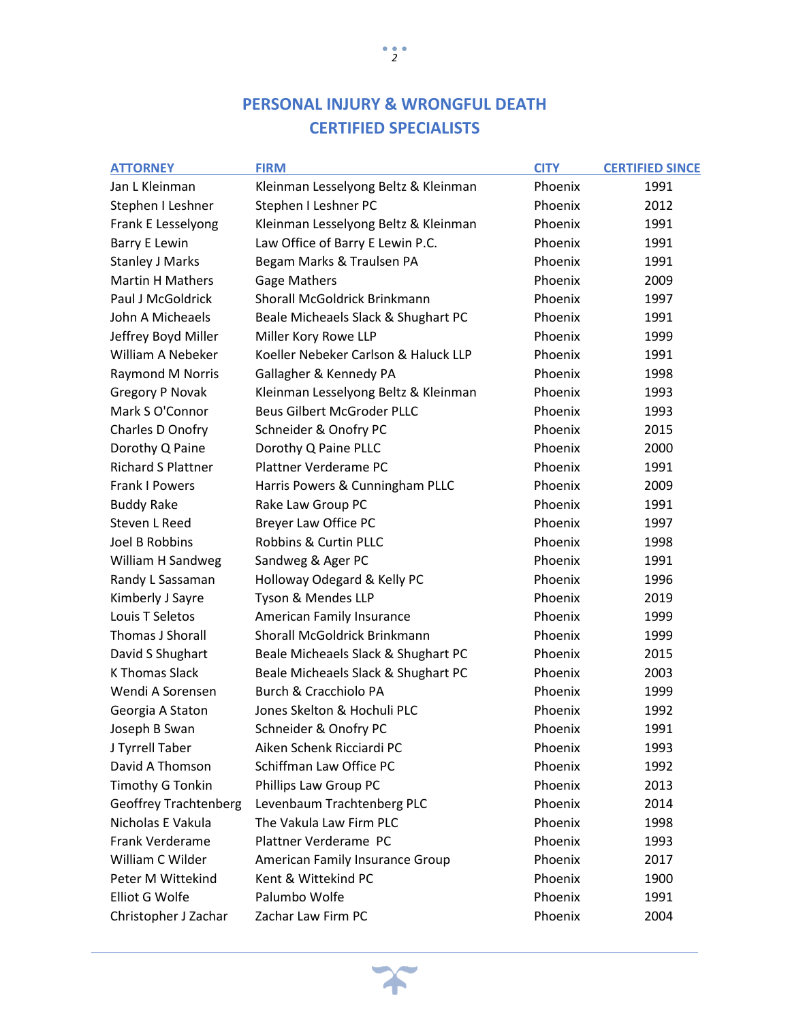| <b>ATTORNEY</b>              | <b>FIRM</b>                          | <b>CITY</b> | <b>CERTIFIED SINCE</b> |
|------------------------------|--------------------------------------|-------------|------------------------|
| Jan L Kleinman               | Kleinman Lesselyong Beltz & Kleinman | Phoenix     | 1991                   |
| Stephen I Leshner            | Stephen I Leshner PC                 | Phoenix     | 2012                   |
| Frank E Lesselyong           | Kleinman Lesselyong Beltz & Kleinman | Phoenix     | 1991                   |
| <b>Barry E Lewin</b>         | Law Office of Barry E Lewin P.C.     | Phoenix     | 1991                   |
| <b>Stanley J Marks</b>       | Begam Marks & Traulsen PA            | Phoenix     | 1991                   |
| <b>Martin H Mathers</b>      | <b>Gage Mathers</b>                  | Phoenix     | 2009                   |
| Paul J McGoldrick            | Shorall McGoldrick Brinkmann         | Phoenix     | 1997                   |
| John A Micheaels             | Beale Micheaels Slack & Shughart PC  | Phoenix     | 1991                   |
| Jeffrey Boyd Miller          | Miller Kory Rowe LLP                 | Phoenix     | 1999                   |
| William A Nebeker            | Koeller Nebeker Carlson & Haluck LLP | Phoenix     | 1991                   |
| Raymond M Norris             | Gallagher & Kennedy PA               | Phoenix     | 1998                   |
| <b>Gregory P Novak</b>       | Kleinman Lesselyong Beltz & Kleinman | Phoenix     | 1993                   |
| Mark S O'Connor              | <b>Beus Gilbert McGroder PLLC</b>    | Phoenix     | 1993                   |
| Charles D Onofry             | Schneider & Onofry PC                | Phoenix     | 2015                   |
| Dorothy Q Paine              | Dorothy Q Paine PLLC                 | Phoenix     | 2000                   |
| <b>Richard S Plattner</b>    | Plattner Verderame PC                | Phoenix     | 1991                   |
| <b>Frank I Powers</b>        | Harris Powers & Cunningham PLLC      | Phoenix     | 2009                   |
| <b>Buddy Rake</b>            | Rake Law Group PC                    | Phoenix     | 1991                   |
| <b>Steven L Reed</b>         | Breyer Law Office PC                 | Phoenix     | 1997                   |
| Joel B Robbins               | Robbins & Curtin PLLC                | Phoenix     | 1998                   |
| William H Sandweg            | Sandweg & Ager PC                    | Phoenix     | 1991                   |
| Randy L Sassaman             | Holloway Odegard & Kelly PC          | Phoenix     | 1996                   |
| Kimberly J Sayre             | Tyson & Mendes LLP                   | Phoenix     | 2019                   |
| Louis T Seletos              | American Family Insurance            | Phoenix     | 1999                   |
| Thomas J Shorall             | Shorall McGoldrick Brinkmann         | Phoenix     | 1999                   |
| David S Shughart             | Beale Micheaels Slack & Shughart PC  | Phoenix     | 2015                   |
| <b>K Thomas Slack</b>        | Beale Micheaels Slack & Shughart PC  | Phoenix     | 2003                   |
| Wendi A Sorensen             | Burch & Cracchiolo PA                | Phoenix     | 1999                   |
| Georgia A Staton             | Jones Skelton & Hochuli PLC          | Phoenix     | 1992                   |
| Joseph B Swan                | Schneider & Onofry PC                | Phoenix     | 1991                   |
| J Tyrrell Taber              | Aiken Schenk Ricciardi PC            | Phoenix     | 1993                   |
| David A Thomson              | Schiffman Law Office PC              | Phoenix     | 1992                   |
| Timothy G Tonkin             | Phillips Law Group PC                | Phoenix     | 2013                   |
| <b>Geoffrey Trachtenberg</b> | Levenbaum Trachtenberg PLC           | Phoenix     | 2014                   |
| Nicholas E Vakula            | The Vakula Law Firm PLC              | Phoenix     | 1998                   |
| Frank Verderame              | Plattner Verderame PC                | Phoenix     | 1993                   |
| William C Wilder             | American Family Insurance Group      | Phoenix     | 2017                   |
| Peter M Wittekind            | Kent & Wittekind PC                  | Phoenix     | 1900                   |
| Elliot G Wolfe               | Palumbo Wolfe                        | Phoenix     | 1991                   |
| Christopher J Zachar         | Zachar Law Firm PC                   | Phoenix     | 2004                   |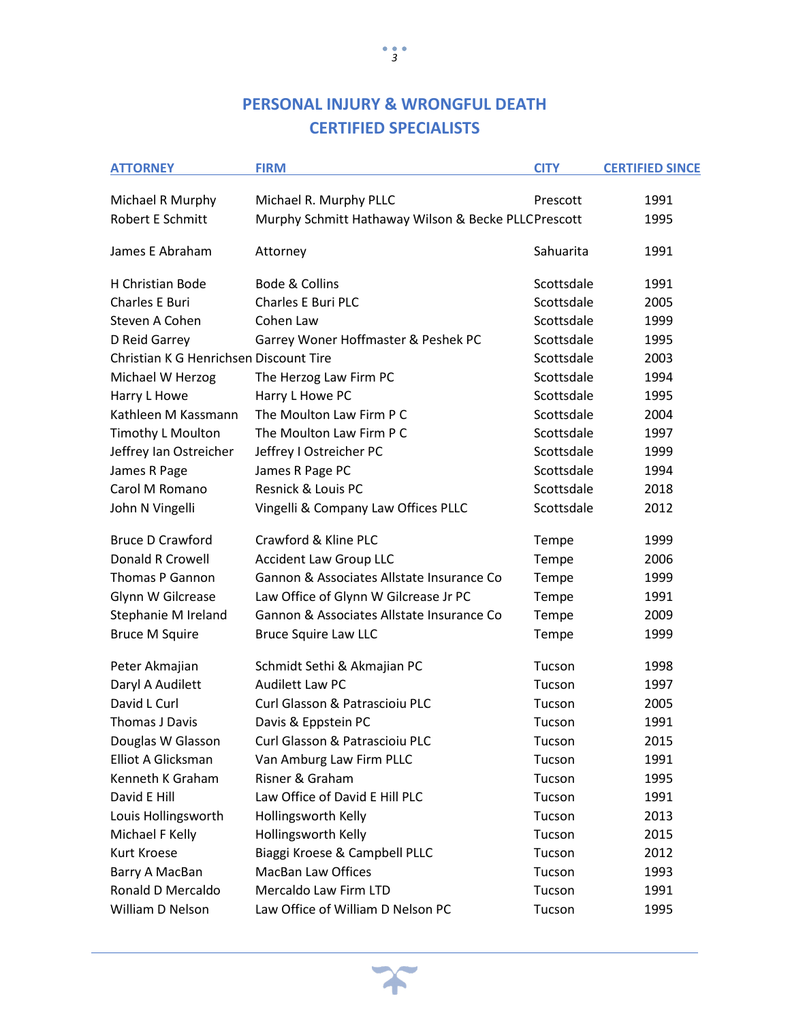| <b>ATTORNEY</b>                        | <b>FIRM</b>                                         | <b>CITY</b> | <b>CERTIFIED SINCE</b> |
|----------------------------------------|-----------------------------------------------------|-------------|------------------------|
| Michael R Murphy                       | Michael R. Murphy PLLC                              | Prescott    | 1991                   |
| <b>Robert E Schmitt</b>                | Murphy Schmitt Hathaway Wilson & Becke PLLCPrescott |             | 1995                   |
| James E Abraham                        | Attorney                                            | Sahuarita   | 1991                   |
| H Christian Bode                       | Bode & Collins                                      | Scottsdale  | 1991                   |
| <b>Charles E Buri</b>                  | <b>Charles E Buri PLC</b>                           | Scottsdale  | 2005                   |
| Steven A Cohen                         | Cohen Law                                           | Scottsdale  | 1999                   |
| D Reid Garrey                          | Garrey Woner Hoffmaster & Peshek PC                 | Scottsdale  | 1995                   |
| Christian K G Henrichsen Discount Tire |                                                     | Scottsdale  | 2003                   |
| Michael W Herzog                       | The Herzog Law Firm PC                              | Scottsdale  | 1994                   |
| Harry L Howe                           | Harry L Howe PC                                     | Scottsdale  | 1995                   |
| Kathleen M Kassmann                    | The Moulton Law Firm P C                            | Scottsdale  | 2004                   |
| Timothy L Moulton                      | The Moulton Law Firm P C                            | Scottsdale  | 1997                   |
| Jeffrey Ian Ostreicher                 | Jeffrey I Ostreicher PC                             | Scottsdale  | 1999                   |
| James R Page                           | James R Page PC                                     | Scottsdale  | 1994                   |
| Carol M Romano                         | Resnick & Louis PC                                  | Scottsdale  | 2018                   |
| John N Vingelli                        | Vingelli & Company Law Offices PLLC                 | Scottsdale  | 2012                   |
| <b>Bruce D Crawford</b>                | Crawford & Kline PLC                                | Tempe       | 1999                   |
| Donald R Crowell                       | <b>Accident Law Group LLC</b>                       | Tempe       | 2006                   |
| <b>Thomas P Gannon</b>                 | Gannon & Associates Allstate Insurance Co           | Tempe       | 1999                   |
| Glynn W Gilcrease                      | Law Office of Glynn W Gilcrease Jr PC               | Tempe       | 1991                   |
| Stephanie M Ireland                    | Gannon & Associates Allstate Insurance Co           | Tempe       | 2009                   |
| <b>Bruce M Squire</b>                  | <b>Bruce Squire Law LLC</b>                         | Tempe       | 1999                   |
| Peter Akmajian                         | Schmidt Sethi & Akmajian PC                         | Tucson      | 1998                   |
| Daryl A Audilett                       | <b>Audilett Law PC</b>                              | Tucson      | 1997                   |
| David L Curl                           | Curl Glasson & Patrascioiu PLC                      | Tucson      | 2005                   |
| Thomas J Davis                         | Davis & Eppstein PC                                 | Tucson      | 1991                   |
| Douglas W Glasson                      | Curl Glasson & Patrascioiu PLC                      | Tucson      | 2015                   |
| Elliot A Glicksman                     | Van Amburg Law Firm PLLC                            | Tucson      | 1991                   |
| Kenneth K Graham                       | Risner & Graham                                     | Tucson      | 1995                   |
| David E Hill                           | Law Office of David E Hill PLC                      | Tucson      | 1991                   |
| Louis Hollingsworth                    | Hollingsworth Kelly                                 | Tucson      | 2013                   |
| Michael F Kelly                        | Hollingsworth Kelly                                 | Tucson      | 2015                   |
| Kurt Kroese                            | Biaggi Kroese & Campbell PLLC                       | Tucson      | 2012                   |
| Barry A MacBan                         | <b>MacBan Law Offices</b>                           | Tucson      | 1993                   |
| Ronald D Mercaldo                      | Mercaldo Law Firm LTD                               | Tucson      | 1991                   |
| William D Nelson                       | Law Office of William D Nelson PC                   | Tucson      | 1995                   |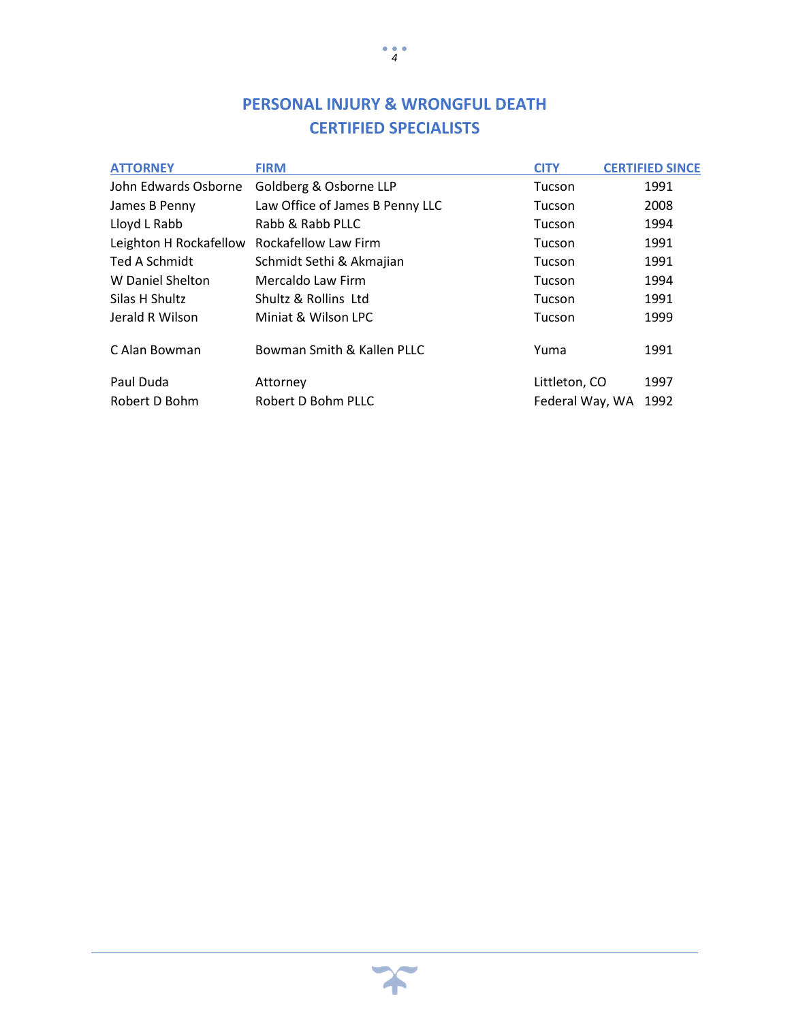| <b>ATTORNEY</b>        | <b>FIRM</b>                     | <b>CITY</b>     | <b>CERTIFIED SINCE</b> |
|------------------------|---------------------------------|-----------------|------------------------|
| John Edwards Osborne   | Goldberg & Osborne LLP          | Tucson          | 1991                   |
| James B Penny          | Law Office of James B Penny LLC | Tucson          | 2008                   |
| Lloyd L Rabb           | Rabb & Rabb PLLC                | Tucson          | 1994                   |
| Leighton H Rockafellow | Rockafellow Law Firm            | Tucson          | 1991                   |
| Ted A Schmidt          | Schmidt Sethi & Akmajian        | Tucson          | 1991                   |
| W Daniel Shelton       | Mercaldo Law Firm               | Tucson          | 1994                   |
| Silas H Shultz         | Shultz & Rollins Ltd            | Tucson          | 1991                   |
| Jerald R Wilson        | Miniat & Wilson LPC             | Tucson          | 1999                   |
| C Alan Bowman          | Bowman Smith & Kallen PLLC      | Yuma            | 1991                   |
| Paul Duda              | Attorney                        | Littleton, CO   | 1997                   |
| Robert D Bohm          | Robert D Bohm PLLC              | Federal Way, WA | 1992                   |